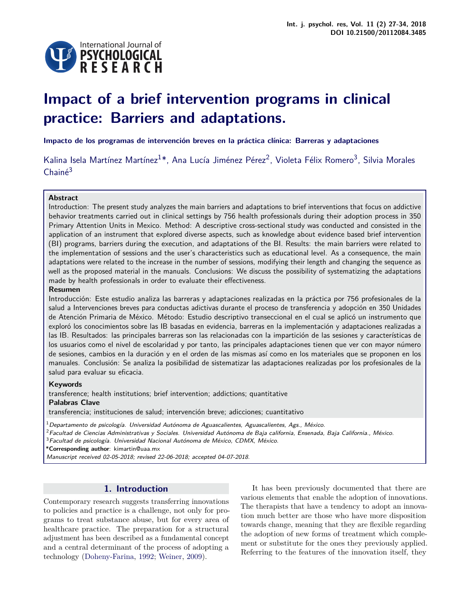

# **Impact of a brief intervention programs in clinical practice: Barriers and adaptations.**

**Impacto de los programas de intervención breves en la práctica clínica: Barreras y adaptaciones**

Kalina Isela Martínez Martínez<sup>1\*</sup>, Ana Lucía Jiménez Pérez<sup>2</sup>, Violeta Félix Romero<sup>3</sup>, Silvia Morales Chainé<sup>3</sup>

# **Abstract**

Introduction: The present study analyzes the main barriers and adaptations to brief interventions that focus on addictive behavior treatments carried out in clinical settings by 756 health professionals during their adoption process in 350 Primary Attention Units in Mexico. Method: A descriptive cross-sectional study was conducted and consisted in the application of an instrument that explored diverse aspects, such as knowledge about evidence based brief intervention (BI) programs, barriers during the execution, and adaptations of the BI. Results: the main barriers were related to the implementation of sessions and the user's characteristics such as educational level. As a consequence, the main adaptations were related to the increase in the number of sessions, modifying their length and changing the sequence as well as the proposed material in the manuals. Conclusions: We discuss the possibility of systematizing the adaptations made by health professionals in order to evaluate their effectiveness.

# **Resumen**

Introducción: Este estudio analiza las barreras y adaptaciones realizadas en la práctica por 756 profesionales de la salud a Intervenciones breves para conductas adictivas durante el proceso de transferencia y adopción en 350 Unidades de Atención Primaria de México. Método: Estudio descriptivo transeccional en el cual se aplicó un instrumento que exploró los conocimientos sobre las IB basadas en evidencia, barreras en la implementación y adaptaciones realizadas a las IB. Resultados: las principales barreras son las relacionadas con la impartición de las sesiones y características de los usuarios como el nivel de escolaridad y por tanto, las principales adaptaciones tienen que ver con mayor número de sesiones, cambios en la duración y en el orden de las mismas así como en los materiales que se proponen en los manuales. Conclusión: Se analiza la posibilidad de sistematizar las adaptaciones realizadas por los profesionales de la salud para evaluar su eficacia.

# **Keywords**

transference; health institutions; brief intervention; addictions; quantitative

#### **Palabras Clave**

transferencia; instituciones de salud; intervención breve; adicciones; cuantitativo

 $^1$ Departamento de psicología. Universidad Autónoma de Aguascalientes, Aguascalientes, Ags., México.

 $2$ Facultad de Ciencias Administrativas y Sociales. Universidad Autónoma de Baja california, Ensenada, Baja California., México.

 $3$ Facultad de psicología. Universidad Nacional Autónoma de México, CDMX, México.

\***Corresponding author**: kimartin@uaa.mx

Manuscript received 02-05-2018; revised 22-06-2018; accepted 04-07-2018.

# **1. Introduction**

Contemporary research suggests transferring innovations to policies and practice is a challenge, not only for programs to treat substance abuse, but for every area of healthcare practice. The preparation for a structural adjustment has been described as a fundamental concept and a central determinant of the process of adopting a technology [\(Doheny-Farina,](#page-6-0) [1992;](#page-6-0) [Weiner,](#page-7-0) [2009\)](#page-7-0).

It has been previously documented that there are various elements that enable the adoption of innovations. The therapists that have a tendency to adopt an innovation much better are those who have more disposition towards change, meaning that they are flexible regarding the adoption of new forms of treatment which complement or substitute for the ones they previously applied. Referring to the features of the innovation itself, they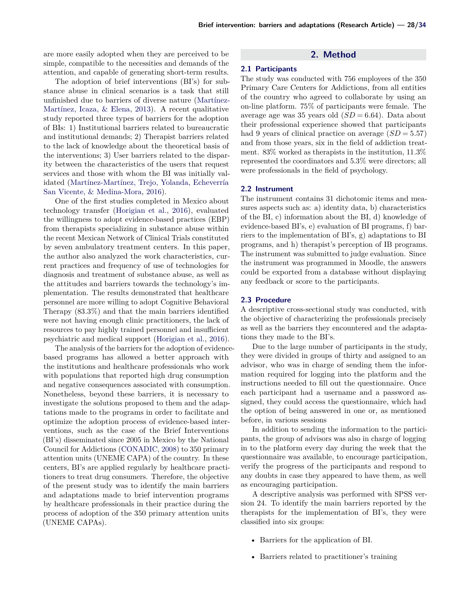are more easily adopted when they are perceived to be simple, compatible to the necessities and demands of the attention, and capable of generating short-term results.

The adoption of brief interventions (BI's) for substance abuse in clinical scenarios is a task that still unfinished due to barriers of diverse nature [\(Martínez-](#page-6-1)[Martínez, Icaza, & Elena,](#page-6-1) [2013\)](#page-6-1). A recent qualitative study reported three types of barriers for the adoption of BIs: 1) Institutional barriers related to bureaucratic and institutional demands; 2) Therapist barriers related to the lack of knowledge about the theoretical basis of the interventions; 3) User barriers related to the disparity between the characteristics of the users that request services and those with whom the BI was initially validated [\(Martínez-Martínez, Trejo, Yolanda, Echeverría](#page-6-2) [San Vicente, & Medina-Mora,](#page-6-2) [2016\)](#page-6-2).

One of the first studies completed in Mexico about technology transfer [\(Horigian et al.,](#page-6-3) [2016\)](#page-6-3), evaluated the willingness to adopt evidence-based practices (EBP) from therapists specializing in substance abuse within the recent Mexican Network of Clinical Trials constituted by seven ambulatory treatment centers. In this paper, the author also analyzed the work characteristics, current practices and frequency of use of technologies for diagnosis and treatment of substance abuse, as well as the attitudes and barriers towards the technology's implementation. The results demonstrated that healthcare personnel are more willing to adopt Cognitive Behavioral Therapy (83.3%) and that the main barriers identified were not having enough clinic practitioners, the lack of resources to pay highly trained personnel and insufficient psychiatric and medical support [\(Horigian et al.,](#page-6-3) [2016\)](#page-6-3).

The analysis of the barriers for the adoption of evidencebased programs has allowed a better approach with the institutions and healthcare professionals who work with populations that reported high drug consumption and negative consequences associated with consumption. Nonetheless, beyond these barriers, it is necessary to investigate the solutions proposed to them and the adaptations made to the programs in order to facilitate and optimize the adoption process of evidence-based interventions, such as the case of the Brief Interventions (BI's) disseminated since 2005 in Mexico by the National Council for Addictions [\(CONADIC,](#page-6-4) [2008\)](#page-6-4) to 350 primary attention units (UNEME CAPA) of the country. In these centers, BI's are applied regularly by healthcare practitioners to treat drug consumers. Therefore, the objective of the present study was to identify the main barriers and adaptations made to brief intervention programs by healthcare professionals in their practice during the process of adoption of the 350 primary attention units (UNEME CAPAs).

# **2. Method**

#### **2.1 Participants**

The study was conducted with 756 employees of the 350 Primary Care Centers for Addictions, from all entities of the country who agreed to collaborate by using an on-line platform. 75% of participants were female. The average age was 35 years old  $(SD = 6.64)$ . Data about their professional experience showed that participants had 9 years of clinical practice on average  $(SD = 5.57)$ and from those years, six in the field of addiction treatment. 83% worked as therapists in the institution, 11.3% represented the coordinators and 5.3% were directors; all were professionals in the field of psychology.

#### **2.2 Instrument**

The instrument contains 31 dichotomic items and measures aspects such as: a) identity data, b) characteristics of the BI, c) information about the BI, d) knowledge of evidence-based BI's, e) evaluation of BI programs, f) barriers to the implementation of BI's, g) adaptations to BI programs, and h) therapist's perception of IB programs. The instrument was submitted to judge evaluation. Since the instrument was programmed in Moodle, the answers could be exported from a database without displaying any feedback or score to the participants.

# **2.3 Procedure**

A descriptive cross-sectional study was conducted, with the objective of characterizing the professionals precisely as well as the barriers they encountered and the adaptations they made to the BI's.

Due to the large number of participants in the study, they were divided in groups of thirty and assigned to an advisor, who was in charge of sending them the information required for logging into the platform and the instructions needed to fill out the questionnaire. Once each participant had a username and a password assigned, they could access the questionnaire, which had the option of being answered in one or, as mentioned before, in various sessions

In addition to sending the information to the participants, the group of advisors was also in charge of logging in to the platform every day during the week that the questionnaire was available, to encourage participation, verify the progress of the participants and respond to any doubts in case they appeared to have them, as well as encouraging participation.

A descriptive analysis was performed with SPSS version 24. To identify the main barriers reported by the therapists for the implementation of BI's, they were classified into six groups:

- Barriers for the application of BI.
- Barriers related to practitioner's training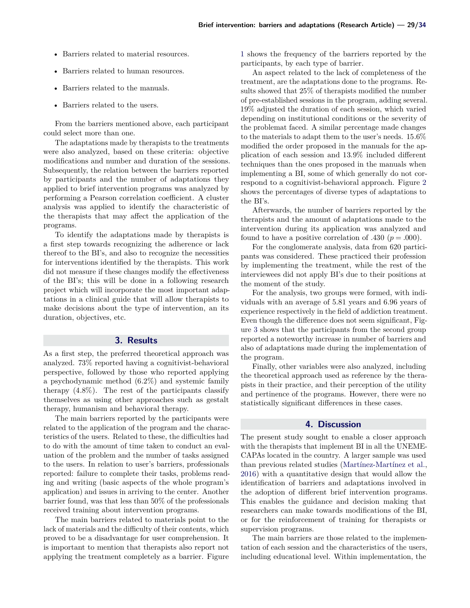- Barriers related to material resources.
- Barriers related to human resources.
- Barriers related to the manuals.
- Barriers related to the users.

From the barriers mentioned above, each participant could select more than one.

The adaptations made by therapists to the treatments were also analyzed, based on these criteria: objective modifications and number and duration of the sessions. Subsequently, the relation between the barriers reported by participants and the number of adaptations they applied to brief intervention programs was analyzed by performing a Pearson correlation coefficient. A cluster analysis was applied to identify the characteristic of the therapists that may affect the application of the programs.

To identify the adaptations made by therapists is a first step towards recognizing the adherence or lack thereof to the BI's, and also to recognize the necessities for interventions identified by the therapists. This work did not measure if these changes modify the effectiveness of the BI's; this will be done in a following research project which will incorporate the most important adaptations in a clinical guide that will allow therapists to make decisions about the type of intervention, an its duration, objectives, etc.

#### **3. Results**

As a first step, the preferred theoretical approach was analyzed. 73% reported having a cognitivist-behavioral perspective, followed by those who reported applying a psychodynamic method (6.2%) and systemic family therapy (4.8%). The rest of the participants classify themselves as using other approaches such as gestalt therapy, humanism and behavioral therapy.

The main barriers reported by the participants were related to the application of the program and the characteristics of the users. Related to these, the difficulties had to do with the amount of time taken to conduct an evaluation of the problem and the number of tasks assigned to the users. In relation to user's barriers, professionals reported: failure to complete their tasks, problems reading and writing (basic aspects of the whole program's application) and issues in arriving to the center. Another barrier found, was that less than 50% of the professionals received training about intervention programs.

The main barriers related to materials point to the lack of materials and the difficulty of their contents, which proved to be a disadvantage for user comprehension. It is important to mention that therapists also report not applying the treatment completely as a barrier. Figure

[1](#page-3-0) shows the frequency of the barriers reported by the participants, by each type of barrier.

An aspect related to the lack of completeness of the treatment, are the adaptations done to the programs. Results showed that 25% of therapists modified the number of pre-established sessions in the program, adding several. 19% adjusted the duration of each session, which varied depending on institutional conditions or the severity of the problemat faced. A similar percentage made changes to the materials to adapt them to the user's needs. 15.6% modified the order proposed in the manuals for the application of each session and 13.9% included different techniques than the ones proposed in the manuals when implementing a BI, some of which generally do not correspond to a cognitivist-behavioral approach. Figure [2](#page-4-0) shows the percentages of diverse types of adaptations to the BI's.

Afterwards, the number of barriers reported by the therapists and the amount of adaptations made to the intervention during its application was analyzed and found to have a positive correlation of .430 ( $p = .000$ ).

For the conglomerate analysis, data from 620 participants was considered. These practiced their profession by implementing the treatment, while the rest of the interviewees did not apply BI's due to their positions at the moment of the study.

For the analysis, two groups were formed, with individuals with an average of 5.81 years and 6.96 years of experience respectively in the field of addiction treatment. Even though the difference does not seem significant, Figure [3](#page-4-1) shows that the participants from the second group reported a noteworthy increase in number of barriers and also of adaptations made during the implementation of the program.

Finally, other variables were also analyzed, including the theoretical approach used as reference by the therapists in their practice, and their perception of the utility and pertinence of the programs. However, there were no statistically significant differences in these cases.

#### **4. Discussion**

The present study sought to enable a closer approach with the therapists that implement BI in all the UNEME-CAPAs located in the country. A larger sample was used than previous related studies [\(Martínez-Martínez et al.,](#page-6-2) [2016\)](#page-6-2) with a quantitative design that would allow the identification of barriers and adaptations involved in the adoption of different brief intervention programs. This enables the guidance and decision making that researchers can make towards modifications of the BI, or for the reinforcement of training for therapists or supervision programs.

The main barriers are those related to the implementation of each session and the characteristics of the users, including educational level. Within implementation, the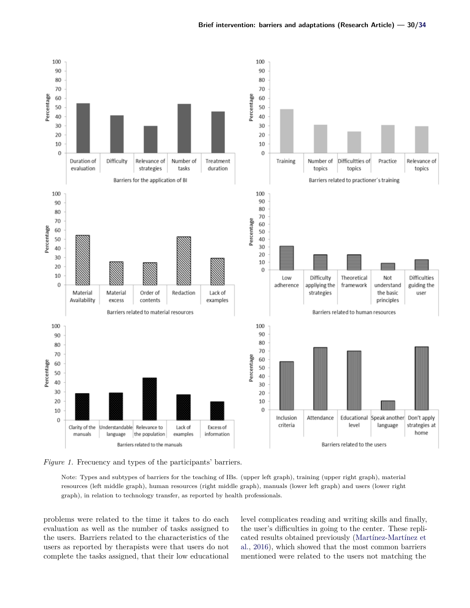<span id="page-3-0"></span>

*Figure 1.* Frecuency and types of the participants' barriers.

Note: Types and subtypes of barriers for the teaching of IBs. (upper left graph), training (upper right graph), material resources (left middle graph), human resources (right middle graph), manuals (lower left graph) and users (lower right graph), in relation to technology transfer, as reported by health professionals.

problems were related to the time it takes to do each evaluation as well as the number of tasks assigned to the users. Barriers related to the characteristics of the users as reported by therapists were that users do not complete the tasks assigned, that their low educational

level complicates reading and writing skills and finally, the user's difficulties in going to the center. These replicated results obtained previously [\(Martínez-Martínez et](#page-6-2) [al.,](#page-6-2) [2016\)](#page-6-2), which showed that the most common barriers mentioned were related to the users not matching the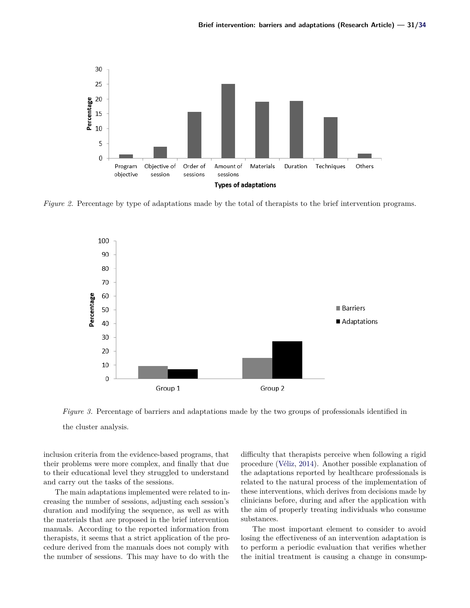<span id="page-4-0"></span>

<span id="page-4-1"></span>*Figure 2.* Percentage by type of adaptations made by the total of therapists to the brief intervention programs.



*Figure 3.* Percentage of barriers and adaptations made by the two groups of professionals identified in

the cluster analysis.

inclusion criteria from the evidence-based programs, that their problems were more complex, and finally that due to their educational level they struggled to understand and carry out the tasks of the sessions.

The main adaptations implemented were related to increasing the number of sessions, adjusting each session's duration and modifying the sequence, as well as with the materials that are proposed in the brief intervention manuals. According to the reported information from therapists, it seems that a strict application of the procedure derived from the manuals does not comply with the number of sessions. This may have to do with the

difficulty that therapists perceive when following a rigid procedure [\(Véliz,](#page-6-5) [2014\)](#page-6-5). Another possible explanation of the adaptations reported by healthcare professionals is related to the natural process of the implementation of these interventions, which derives from decisions made by clinicians before, during and after the application with the aim of properly treating individuals who consume substances.

The most important element to consider to avoid losing the effectiveness of an intervention adaptation is to perform a periodic evaluation that verifies whether the initial treatment is causing a change in consump-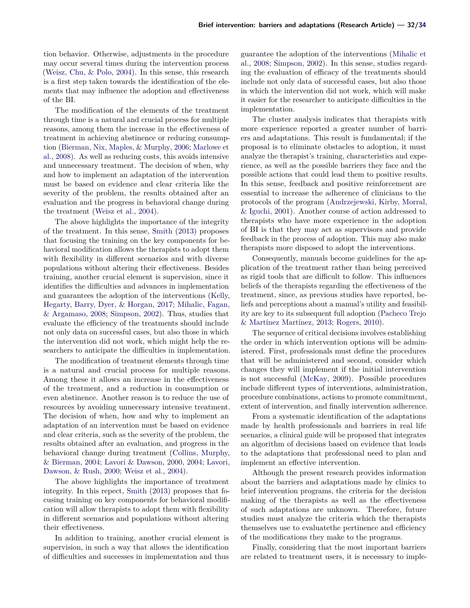tion behavior. Otherwise, adjustments in the procedure may occur several times during the intervention process [\(Weisz, Chu, & Polo,](#page-7-2) [2004\)](#page-7-2). In this sense, this research is a first step taken towards the identification of the elements that may influence the adoption and effectiveness of the BI.

The modification of the elements of the treatment through time is a natural and crucial process for multiple reasons, among them the increase in the effectiveness of treatment in achieving abstinence or reducing consumption [\(Bierman, Nix, Maples, & Murphy,](#page-6-6) [2006;](#page-6-6) [Marlowe et](#page-6-7) [al.,](#page-6-7) [2008\)](#page-6-7). As well as reducing costs, this avoids intensive and unnecessary treatment. The decision of when, why and how to implement an adaptation of the intervention must be based on evidence and clear criteria like the severity of the problem, the results obtained after an evaluation and the progress in behavioral change during the treatment [\(Weisz et al.,](#page-7-2) [2004\)](#page-7-2).

The above highlights the importance of the integrity of the treatment. In this sense, [Smith](#page-6-8) [\(2013\)](#page-6-8) proposes that focusing the training on the key components for behavioral modification allows the therapists to adopt them with flexibility in different scenarios and with diverse populations without altering their effectiveness. Besides training, another crucial element is supervision, since it identifies the difficulties and advances in implementation and guarantees the adoption of the interventions [\(Kelly,](#page-6-9) [Hegarty, Barry, Dyer, & Horgan,](#page-6-9) [2017;](#page-6-9) [Mihalic, Fagan,](#page-6-10) [& Argamaso,](#page-6-10) [2008;](#page-6-10) [Simpson,](#page-6-11) [2002\)](#page-6-11). Thus, studies that evaluate the efficiency of the treatments should include not only data on successful cases, but also those in which the intervention did not work, which might help the researchers to anticipate the difficulties in implementation.

The modification of treatment elements through time is a natural and crucial process for multiple reasons. Among these it allows an increase in the effectiveness of the treatment, and a reduction in consumption or even abstinence. Another reason is to reduce the use of resources by avoiding unnecessary intensive treatment. The decision of when, how and why to implement an adaptation of an intervention must be based on evidence and clear criteria, such as the severity of the problem, the results obtained after an evaluation, and progress in the behavioral change during treatment [\(Collins, Murphy,](#page-6-12) [& Bierman,](#page-6-12) [2004;](#page-6-12) [Lavori & Dawson,](#page-6-13) [2000,](#page-6-13) [2004;](#page-6-14) [Lavori,](#page-6-15) [Dawson, & Rush,](#page-6-15) [2000;](#page-6-15) [Weisz et al.,](#page-7-2) [2004\)](#page-7-2).

The above highlights the importance of treatment integrity. In this repect, [Smith](#page-6-8) [\(2013\)](#page-6-8) proposes that focusing training on key components for behavioral modification will allow therapists to adopt them with flexibility in different scenarios and populations without altering their effectiveness.

In addition to training, another crucial element is supervision, in such a way that allows the identification of difficulties and successes in implementation and thus

guarantee the adoption of the interventions [\(Mihalic et](#page-6-10) [al.,](#page-6-10) [2008;](#page-6-10) [Simpson,](#page-6-11) [2002\)](#page-6-11). In this sense, studies regarding the evaluation of efficacy of the treatments should include not only data of successful cases, but also those in which the intervention did not work, which will make it easier for the researcher to anticipate difficulties in the implementation.

The cluster analysis indicates that therapists with more experience reported a greater number of barriers and adaptations. This result is fundamental; if the proposal is to eliminate obstacles to adoption, it must analyze the therapist's training, characteristics and experience, as well as the possible barriers they face and the possible actions that could lead them to positive results. In this sense, feedback and positive reinforcement are essential to increase the adherence of clinicians to the protocols of the program [\(Andrzejewski, Kirby, Morral,](#page-6-16) [& Iguchi,](#page-6-16) [2001\)](#page-6-16). Another course of action addressed to therapists who have more experience in the adoption of BI is that they may act as supervisors and provide feedback in the process of adoption. This may also make therapists more disposed to adopt the interventions.

Consequently, manuals become guidelines for the application of the treatment rather than being perceived as rigid tools that are difficult to follow. This influences beliefs of the therapists regarding the effectiveness of the treatment, since, as previous studies have reported, beliefs and perceptions about a manual's utility and feasibility are key to its subsequent full adoption [\(Pacheco Trejo](#page-6-17) [& Martínez Martínez,](#page-6-17) [2013;](#page-6-17) [Rogers,](#page-6-18) [2010\)](#page-6-18).

The sequence of critical decisions involves establishing the order in which intervention options will be administered. First, professionals must define the procedures that will be administered and second, consider which changes they will implement if the initial intervention is not successful [\(McKay,](#page-6-19) [2009\)](#page-6-19). Possible procedures include different types of interventions, administration, procedure combinations, actions to promote commitment, extent of intervention, and finally intervention adherence.

From a systematic identification of the adaptations made by health professionals and barriers in real life scenarios, a clinical guide will be proposed that integrates an algorithm of decisions based on evidence that leads to the adaptations that professional need to plan and implement an effective intervention.

Although the present research provides information about the barriers and adaptations made by clinics to brief intervention programs, the criteria for the decision making of the therapists as well as the effectiveness of such adaptations are unknown. Therefore, future studies must analyze the criteria which the therapists themselves use to evaluatethe pertinence and efficiency of the modifications they make to the programs.

Finally, considering that the most important barriers are related to treatment users, it is necessary to imple-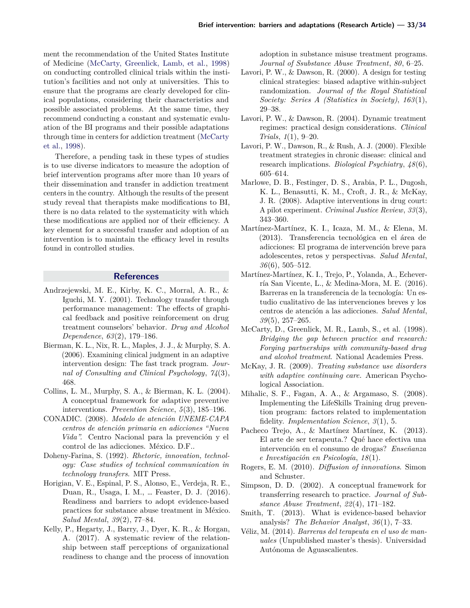ment the recommendation of the United States Institute of Medicine [\(McCarty, Greenlick, Lamb, et al.,](#page-6-20) [1998\)](#page-6-20) on conducting controlled clinical trials within the institution's facilities and not only at universities. This to ensure that the programs are clearly developed for clinical populations, considering their characteristics and possible associated problems. At the same time, they recommend conducting a constant and systematic evaluation of the BI programs and their possible adaptations through time in centers for addiction treatment [\(McCarty](#page-6-20) [et al.,](#page-6-20) [1998\)](#page-6-20).

Therefore, a pending task in these types of studies is to use diverse indicators to measure the adoption of brief intervention programs after more than 10 years of their dissemination and transfer in addiction treatment centers in the country. Although the results of the present study reveal that therapists make modifications to BI, there is no data related to the systematicity with which these modifications are applied nor of their efficiency. A key element for a successful transfer and adoption of an intervention is to maintain the efficacy level in results found in controlled studies.

# **References**

- <span id="page-6-16"></span>Andrzejewski, M. E., Kirby, K. C., Morral, A. R., & Iguchi, M. Y. (2001). Technology transfer through performance management: The effects of graphical feedback and positive reinforcement on drug treatment counselors' behavior. *Drug and Alcohol Dependence*, *63*(2), 179–186.
- <span id="page-6-6"></span>Bierman, K. L., Nix, R. L., Maples, J. J., & Murphy, S. A. (2006). Examining clinical judgment in an adaptive intervention design: The fast track program. *Journal of Consulting and Clinical Psychology*, *74*(3), 468.
- <span id="page-6-12"></span>Collins, L. M., Murphy, S. A., & Bierman, K. L. (2004). A conceptual framework for adaptive preventive interventions. *Prevention Science*, *5*(3), 185–196.
- <span id="page-6-4"></span>CONADIC. (2008). *Modelo de atención UNEME-CAPA centros de atención primaria en adicciones "Nueva Vida".* Centro Nacional para la prevención y el control de las adicciones. México. D.F..
- <span id="page-6-0"></span>Doheny-Farina, S. (1992). *Rhetoric, innovation, technology: Case studies of technical communication in technology transfers*. MIT Press.
- <span id="page-6-3"></span>Horigian, V. E., Espinal, P. S., Alonso, E., Verdeja, R. E., Duan, R., Usaga, I. M., … Feaster, D. J. (2016). Readiness and barriers to adopt evidence-based practices for substance abuse treatment in México. *Salud Mental*, *39*(2), 77–84.
- <span id="page-6-9"></span>Kelly, P., Hegarty, J., Barry, J., Dyer, K. R., & Horgan, A. (2017). A systematic review of the relationship between staff perceptions of organizational readiness to change and the process of innovation

adoption in substance misuse treatment programs. *Journal of Ssubstance Abuse Treatment*, *80*, 6–25.

- <span id="page-6-13"></span>Lavori, P. W., & Dawson, R. (2000). A design for testing clinical strategies: biased adaptive within-subject randomization. *Journal of the Royal Statistical Society: Series A (Statistics in Society)*, *163*(1), 29–38.
- <span id="page-6-14"></span>Lavori, P. W., & Dawson, R. (2004). Dynamic treatment regimes: practical design considerations. *Clinical Trials*, *1*(1), 9–20.
- <span id="page-6-15"></span>Lavori, P. W., Dawson, R., & Rush, A. J. (2000). Flexible treatment strategies in chronic disease: clinical and research implications. *Biological Psychiatry*, *48*(6), 605–614.
- <span id="page-6-7"></span>Marlowe, D. B., Festinger, D. S., Arabia, P. L., Dugosh, K. L., Benasutti, K. M., Croft, J. R., & McKay, J. R. (2008). Adaptive interventions in drug court: A pilot experiment. *Criminal Justice Review*, *33*(3), 343–360.
- <span id="page-6-1"></span>Martínez-Martínez, K. I., Icaza, M. M., & Elena, M. (2013). Transferencia tecnológica en el área de adicciones: El programa de intervención breve para adolescentes, retos y perspectivas. *Salud Mental*, *36*(6), 505–512.
- <span id="page-6-2"></span>Martínez-Martínez, K. I., Trejo, P., Yolanda, A., Echeverría San Vicente, L., & Medina-Mora, M. E. (2016). Barreras en la transferencia de la tecnología: Un estudio cualitativo de las intervenciones breves y los centros de atención a las adicciones. *Salud Mental*, *39*(5), 257–265.
- <span id="page-6-20"></span>McCarty, D., Greenlick, M. R., Lamb, S., et al. (1998). *Bridging the gap between practice and research: Forging partnerships with community-based drug and alcohol treatment*. National Academies Press.
- <span id="page-6-19"></span>McKay, J. R. (2009). *Treating substance use disorders with adaptive continuing care.* American Psychological Association.
- <span id="page-6-10"></span>Mihalic, S. F., Fagan, A. A., & Argamaso, S. (2008). Implementing the LifeSkills Training drug prevention program: factors related to implementation fidelity. *Implementation Science*, *3*(1), 5.
- <span id="page-6-17"></span>Pacheco Trejo, A., & Martínez Martínez, K. (2013). El arte de ser terapeuta.? Qué hace efectiva una intervención en el consumo de drogas? *Enseñanza e Investigación en Psicología*, *18*(1).
- <span id="page-6-18"></span>Rogers, E. M. (2010). *Diffusion of innovations*. Simon and Schuster.
- <span id="page-6-11"></span>Simpson, D. D. (2002). A conceptual framework for transferring research to practice. *Journal of Substance Abuse Treatment*, *22*(4), 171–182.
- <span id="page-6-8"></span>Smith, T. (2013). What is evidence-based behavior analysis? *The Behavior Analyst*, *36*(1), 7–33.
- <span id="page-6-5"></span>Véliz, M. (2014). *Barreras del terapeuta en el uso de manuales* (Unpublished master's thesis). Universidad Autónoma de Aguascalientes.